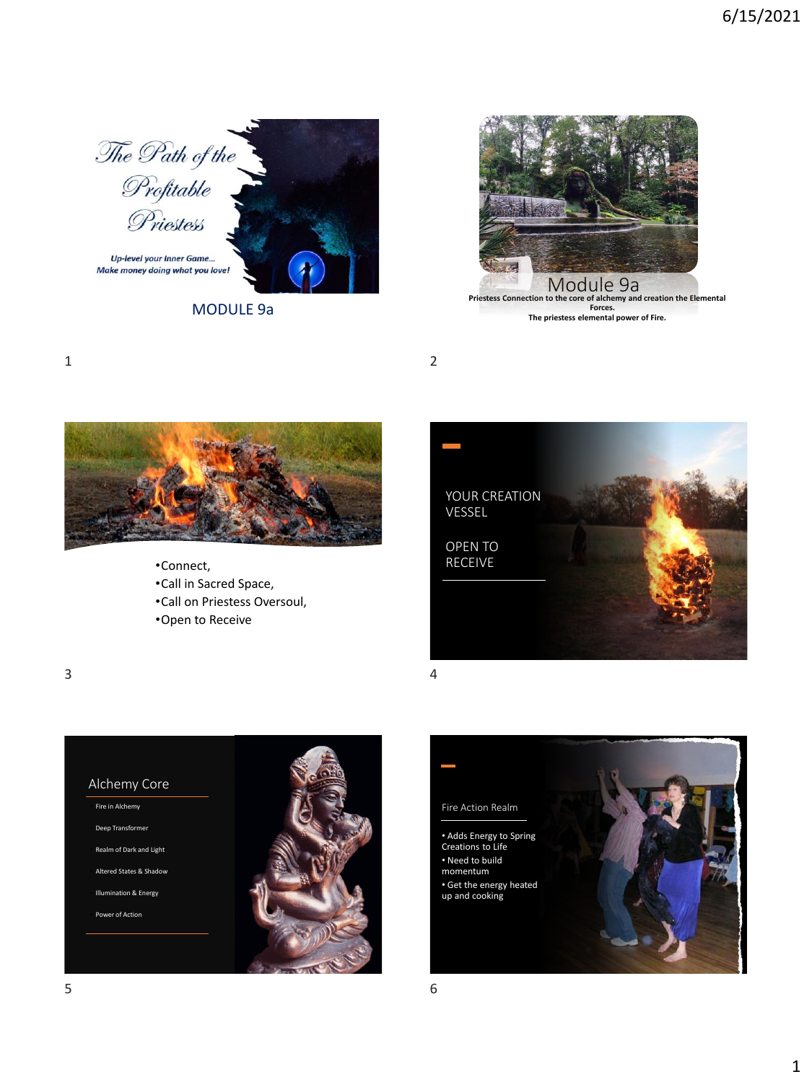

MODULE 9a



**The priestess elemental power of Fire.**

1 2



- •Connect,
- •Call in Sacred Space,
- •Call on Priestess Oversoul,
- •Open to Receive



 $3 \overline{4}$ 



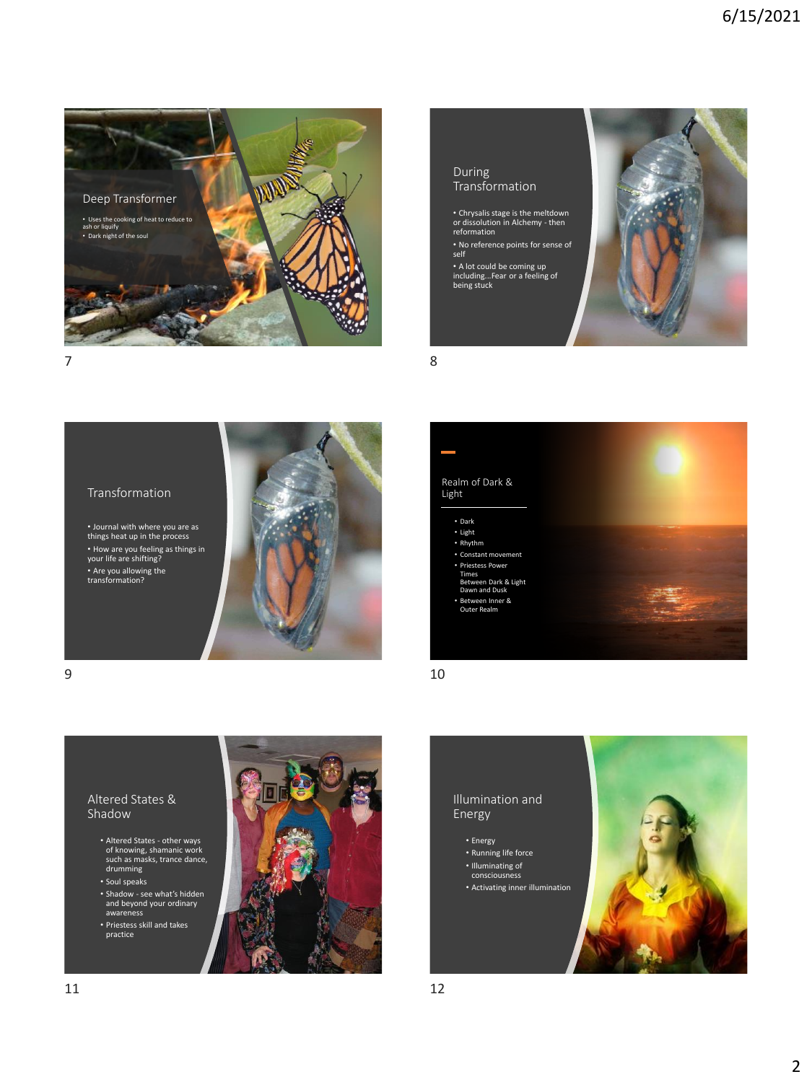





 $7$  8

self

## Transformation

• Journal with where you are as things heat up in the process • How are you feeling as things in your life are shifting? • Are you allowing the transformation?





 $9$  10



## Altered States & Shadow

- Altered States other ways of knowing, shamanic work such as masks, trance dance, drumming
- Soul speaks
- Shadow see what's hidden and beyond your ordinary awareness
- Priestess skill and takes practice

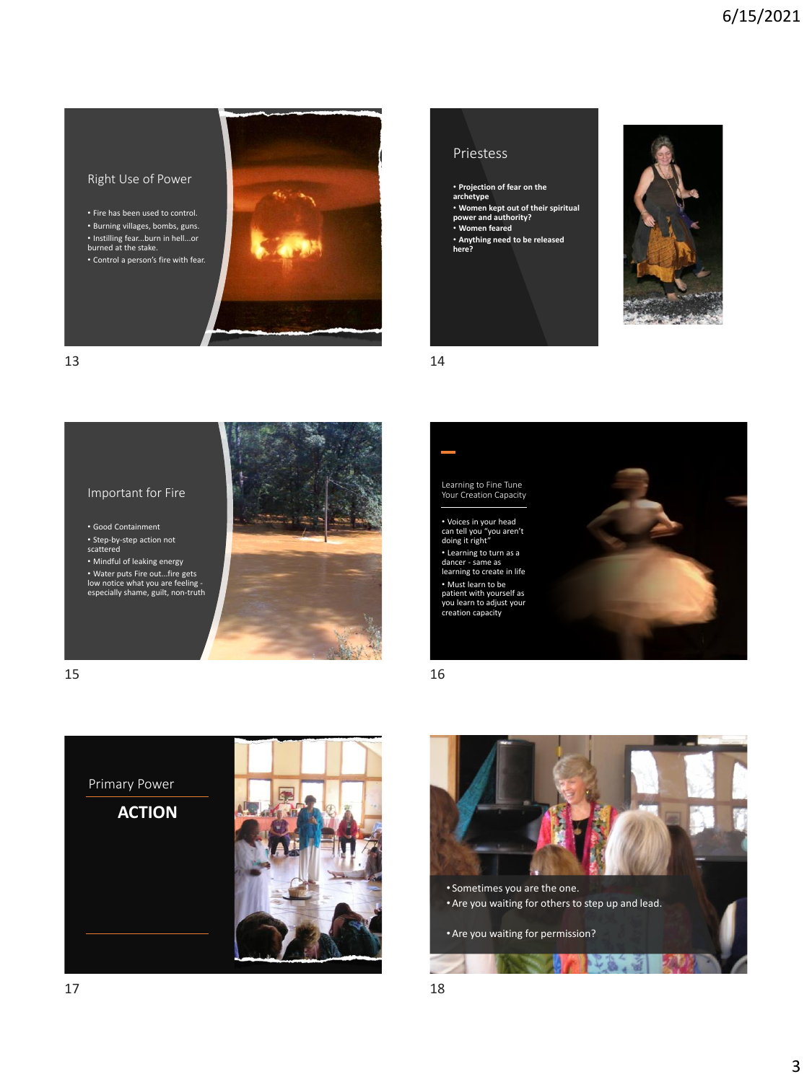## Right Use of Power

• Fire has been used to control. • Burning villages, bombs, guns. • Instilling fear...burn in hell...or burned at the stake. • Control a person's fire with fear.















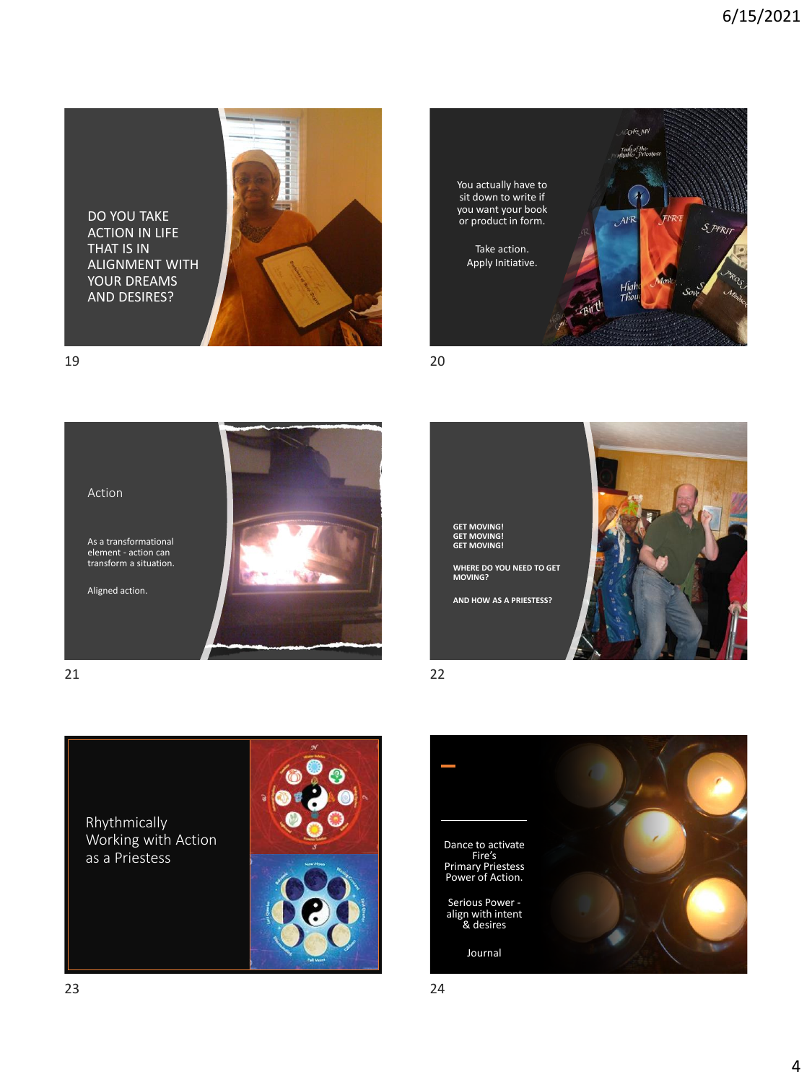DO YOU TAKE ACTION IN LIFE THAT IS IN ALIGNMENT WITH YOUR DREAMS AND DESIRES?













**GET MOVING! GET MOVING! GET MOVING!**

**AND HOW AS A PRIESTESS?**

Rhythmically Working with Action as a Priestess